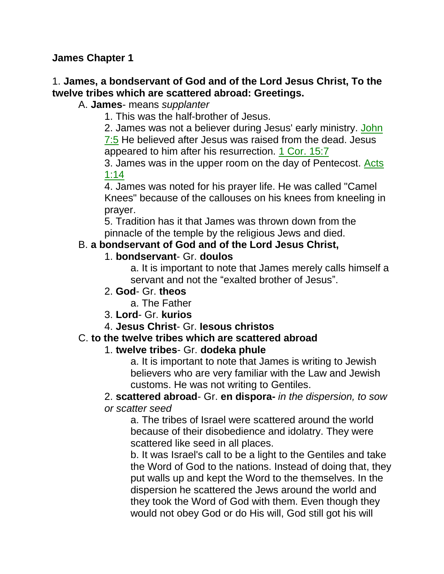**James Chapter 1**

### 1. **James, a bondservant of God and of the Lord Jesus Christ, To the twelve tribes which are scattered abroad: Greetings.**

### A. **James**- means *supplanter*

1. This was the half-brother of Jesus.

2. James was not a believer during Jesus' early ministry. John 7:5 He believed after Jesus was raised from the dead. Jesus

appeared to him after his resurrection. 1 Cor. 15:7 3. James was in the upper room on the day of Pentecost. Acts

1:14

4. James was noted for his prayer life. He was called "Camel Knees" because of the callouses on his knees from kneeling in prayer.

5. Tradition has it that James was thrown down from the pinnacle of the temple by the religious Jews and died.

### B. **a bondservant of God and of the Lord Jesus Christ,**

#### 1. **bondservant**- Gr. **doulos**

a. It is important to note that James merely calls himself a servant and not the "exalted brother of Jesus".

### 2. **God**- Gr. **theos**

a. The Father

3. **Lord**- Gr. **kurios**

4. **Jesus Christ**- Gr. **Iesous christos**

### C. **to the twelve tribes which are scattered abroad**

### 1. **twelve tribes**- Gr. **dodeka phule**

a. It is important to note that James is writing to Jewish believers who are very familiar with the Law and Jewish customs. He was not writing to Gentiles.

# 2. **scattered abroad**- Gr. **en dispora-** *in the dispersion, to sow*

### *or scatter seed*

a. The tribes of Israel were scattered around the world because of their disobedience and idolatry. They were scattered like seed in all places.

b. It was Israel's call to be a light to the Gentiles and take the Word of God to the nations. Instead of doing that, they put walls up and kept the Word to the themselves. In the dispersion he scattered the Jews around the world and they took the Word of God with them. Even though they would not obey God or do His will, God still got his will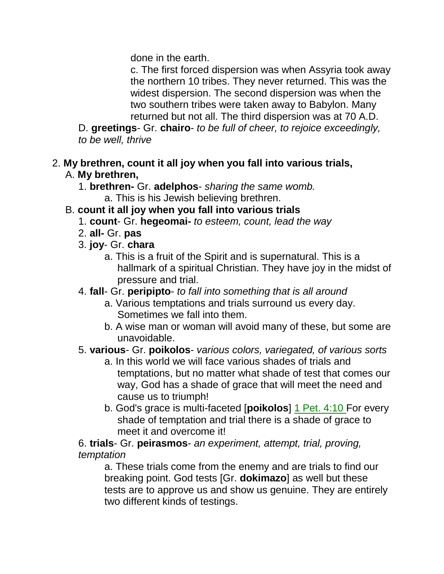done in the earth.

c. The first forced dispersion was when Assyria took away the northern 10 tribes. They never returned. This was the widest dispersion. The second dispersion was when the two southern tribes were taken away to Babylon. Many returned but not all. The third dispersion was at 70 A.D.

D. **greetings**- Gr. **chairo**- *to be full of cheer, to rejoice exceedingly, to be well, thrive*

#### 2. **My brethren, count it all joy when you fall into various trials,**  A. **My brethren,**

1. **brethren-** Gr. **adelphos**- *sharing the same womb.* a. This is his Jewish believing brethren.

### B. **count it all joy when you fall into various trials**

- 1. **count** Gr. **hegeomai-** *to esteem, count, lead the way*
- 2. **all-** Gr. **pas**
- 3. **joy** Gr. **chara**
	- a. This is a fruit of the Spirit and is supernatural. This is a hallmark of a spiritual Christian. They have joy in the midst of pressure and trial.

#### 4. **fall**- Gr. **peripipto**- *to fall into something that is all around*

- a. Various temptations and trials surround us every day. Sometimes we fall into them.
- b. A wise man or woman will avoid many of these, but some are unavoidable.

### 5. **various**- Gr. **poikolos**- *various colors, variegated, of various sorts*

- a. In this world we will face various shades of trials and temptations, but no matter what shade of test that comes our way, God has a shade of grace that will meet the need and cause us to triumph!
- b. God's grace is multi-faceted [**poikolos**] 1 Pet. 4:10 For every shade of temptation and trial there is a shade of grace to meet it and overcome it!

#### 6. **trials**- Gr. **peirasmos**- *an experiment, attempt, trial, proving, temptation*

a. These trials come from the enemy and are trials to find our breaking point. God tests [Gr. **dokimazo**] as well but these tests are to approve us and show us genuine. They are entirely two different kinds of testings.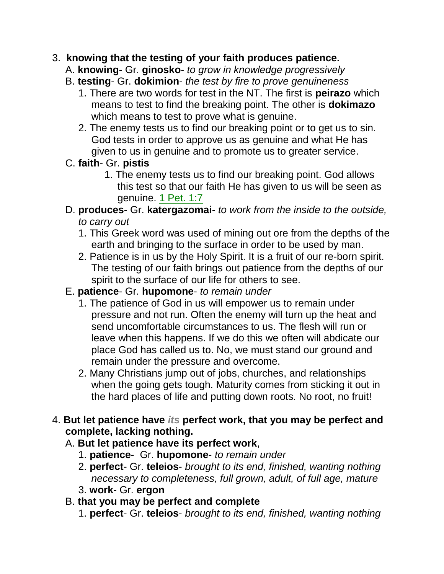### 3. **knowing that the testing of your faith produces patience.**

- A. **knowing** Gr. **ginosko** *to grow in knowledge progressively*
- B. **testing** Gr. **dokimion** *the test by fire to prove genuineness*
	- 1. There are two words for test in the NT. The first is **peirazo** which means to test to find the breaking point. The other is **dokimazo** which means to test to prove what is genuine.
	- 2. The enemy tests us to find our breaking point or to get us to sin. God tests in order to approve us as genuine and what He has given to us in genuine and to promote us to greater service.
- C. **faith** Gr. **pistis**
	- 1. The enemy tests us to find our breaking point. God allows this test so that our faith He has given to us will be seen as genuine. 1 Pet. 1:7

### D. **produces**- Gr. **katergazomai**- *to work from the inside to the outside, to carry out*

- 1. This Greek word was used of mining out ore from the depths of the earth and bringing to the surface in order to be used by man.
- 2. Patience is in us by the Holy Spirit. It is a fruit of our re-born spirit. The testing of our faith brings out patience from the depths of our spirit to the surface of our life for others to see.

### E. **patience**- Gr. **hupomone**- *to remain under*

- 1. The patience of God in us will empower us to remain under pressure and not run. Often the enemy will turn up the heat and send uncomfortable circumstances to us. The flesh will run or leave when this happens. If we do this we often will abdicate our place God has called us to. No, we must stand our ground and remain under the pressure and overcome.
- 2. Many Christians jump out of jobs, churches, and relationships when the going gets tough. Maturity comes from sticking it out in the hard places of life and putting down roots. No root, no fruit!

### 4. **But let patience have** *its* **perfect work, that you may be perfect and complete, lacking nothing.**

### A. **But let patience have its perfect work**,

- 1. **patience** Gr. **hupomone** *to remain under*
- 2. **perfect** Gr. **teleios** *brought to its end, finished, wanting nothing necessary to completeness, full grown, adult, of full age, mature*
- 3. **work** Gr. **ergon**

### B. **that you may be perfect and complete**

1. **perfect**- Gr. **teleios**- *brought to its end, finished, wanting nothing*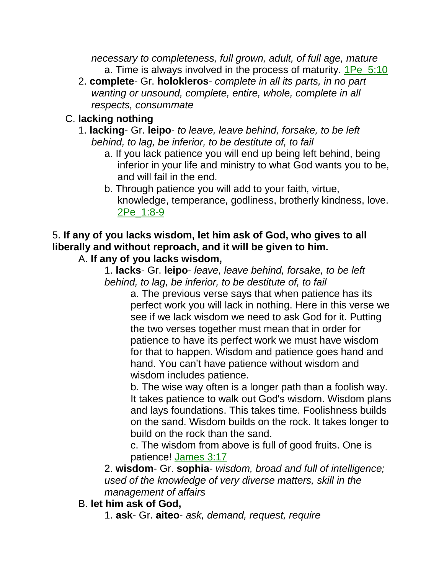*necessary to completeness, full grown, adult, of full age, mature* a. Time is always involved in the process of maturity. 1Pe\_5:10

2. **complete**- Gr. **holokleros**- *complete in all its parts, in no part wanting or unsound, complete, entire, whole, complete in all respects, consummate*

## C. **lacking nothing**

- 1. **lacking** Gr. **leipo** *to leave, leave behind, forsake, to be left behind, to lag, be inferior, to be destitute of, to fail*
	- a. If you lack patience you will end up being left behind, being inferior in your life and ministry to what God wants you to be, and will fail in the end.
	- b. Through patience you will add to your faith, virtue, knowledge, temperance, godliness, brotherly kindness, love. 2Pe\_1:8-9

# 5. **If any of you lacks wisdom, let him ask of God, who gives to all liberally and without reproach, and it will be given to him.**

### A. **If any of you lacks wisdom,**

1. **lacks**- Gr. **leipo**- *leave, leave behind, forsake, to be left behind, to lag, be inferior, to be destitute of, to fail*

a. The previous verse says that when patience has its perfect work you will lack in nothing. Here in this verse we see if we lack wisdom we need to ask God for it. Putting the two verses together must mean that in order for patience to have its perfect work we must have wisdom for that to happen. Wisdom and patience goes hand and hand. You can't have patience without wisdom and wisdom includes patience.

b. The wise way often is a longer path than a foolish way. It takes patience to walk out God's wisdom. Wisdom plans and lays foundations. This takes time. Foolishness builds on the sand. Wisdom builds on the rock. It takes longer to build on the rock than the sand.

c. The wisdom from above is full of good fruits. One is patience! James 3:17

2. **wisdom**- Gr. **sophia**- *wisdom, broad and full of intelligence; used of the knowledge of very diverse matters, skill in the management of affairs* 

B. **let him ask of God,**

1. **ask**- Gr. **aiteo**- *ask, demand, request, require*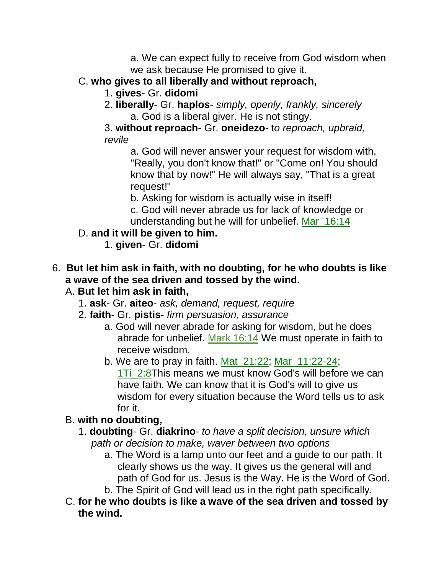a. We can expect fully to receive from God wisdom when we ask because He promised to give it.

- C. **who gives to all liberally and without reproach,**
	- 1. **gives** Gr. **didomi**
	- 2. **liberally** Gr. **haplos** *simply, openly, frankly, sincerely* a. God is a liberal giver. He is not stingy.
	- 3. **without reproach** Gr. **oneidezo** t*o reproach, upbraid, revile*

a. God will never answer your request for wisdom with, "Really, you don't know that!" or "Come on! You should know that by now!" He will always say, "That is a great request!"

b. Asking for wisdom is actually wise in itself!

c. God will never abrade us for lack of knowledge or understanding but he will for unbelief. Mar\_16:14

- D. **and it will be given to him.**
	- 1. **given** Gr. **didomi**

### 6. **But let him ask in faith, with no doubting, for he who doubts is like a wave of the sea driven and tossed by the wind.**

## A. **But let him ask in faith,**

- 1. **ask** Gr. **aiteo** *ask, demand, request, require*
- 2. **faith** Gr. **pistis** *firm persuasion, assurance*
	- a. God will never abrade for asking for wisdom, but he does abrade for unbelief. Mark 16:14 We must operate in faith to receive wisdom.
	- b. We are to pray in faith. Mat\_21:22; Mar\_11:22-24; 1Ti 2:8This means we must know God's will before we can have faith. We can know that it is God's will to give us wisdom for every situation because the Word tells us to ask for it.

# B. **with no doubting,**

- 1. **doubting** Gr. **diakrino** *to have a split decision, unsure which path or decision to make, waver between two options*
	- a. The Word is a lamp unto our feet and a guide to our path. It clearly shows us the way. It gives us the general will and path of God for us. Jesus is the Way. He is the Word of God. b. The Spirit of God will lead us in the right path specifically.
- C. **for he who doubts is like a wave of the sea driven and tossed by the wind.**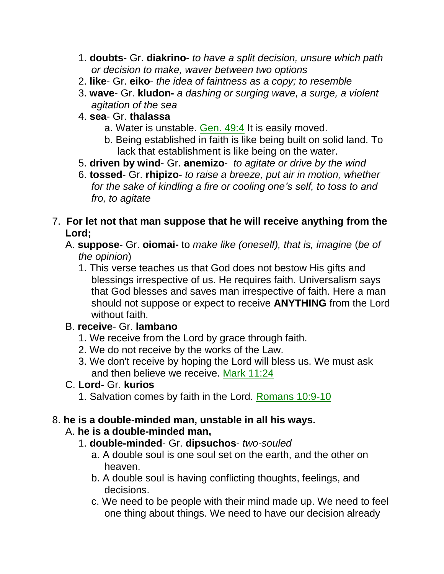- 1. **doubts** Gr. **diakrino** *to have a split decision, unsure which path or decision to make, waver between two options*
- 2. **like** Gr. **eiko** *the idea of faintness as a copy; to resemble*
- 3. **wave** Gr. **kludon-** *a dashing or surging wave, a surge, a violent agitation of the sea*
- 4. **sea** Gr. **thalassa**
	- a. Water is unstable. Gen. 49:4 It is easily moved.
	- b. Being established in faith is like being built on solid land. To lack that establishment is like being on the water.
- 5. **driven by wind** Gr. **anemizo** *to agitate or drive by the wind*
- 6. **tossed** Gr. **rhipizo** *to raise a breeze, put air in motion, whether for the sake of kindling a fire or cooling one's self, to toss to and fro, to agitate*
- 7. **For let not that man suppose that he will receive anything from the Lord;** 
	- A. **suppose** Gr. **oiomai-** to *make like (oneself), that is, imagine* (*be of the opinion*)
		- 1. This verse teaches us that God does not bestow His gifts and blessings irrespective of us. He requires faith. Universalism says that God blesses and saves man irrespective of faith. Here a man should not suppose or expect to receive **ANYTHING** from the Lord without faith.

### B. **receive**- Gr. **lambano**

- 1. We receive from the Lord by grace through faith.
- 2. We do not receive by the works of the Law.
- 3. We don't receive by hoping the Lord will bless us. We must ask and then believe we receive. Mark 11:24

### C. **Lord**- Gr. **kurios**

1. Salvation comes by faith in the Lord. Romans 10:9-10

### 8. **he is a double-minded man, unstable in all his ways.**

### A. **he is a double-minded man,**

- 1. **double-minded** Gr. **dipsuchos** *two-souled*
	- a. A double soul is one soul set on the earth, and the other on heaven.
	- b. A double soul is having conflicting thoughts, feelings, and decisions.
	- c. We need to be people with their mind made up. We need to feel one thing about things. We need to have our decision already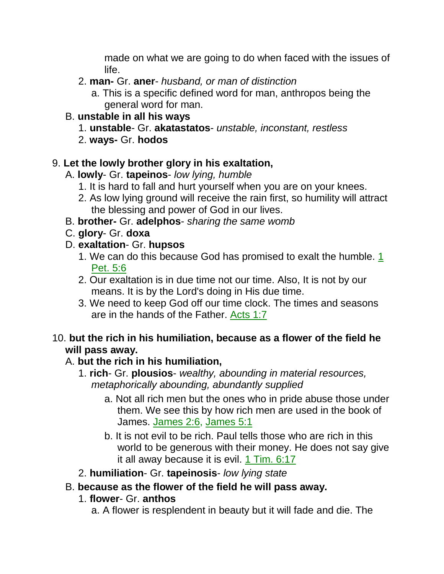made on what we are going to do when faced with the issues of life.

- 2. **man-** Gr. **aner** *husband, or man of distinction*
	- a. This is a specific defined word for man, anthropos being the general word for man.

### B. **unstable in all his ways**

- 1. **unstable** Gr. **akatastatos** *unstable, inconstant, restless*
- 2. **ways-** Gr. **hodos**

## 9. **Let the lowly brother glory in his exaltation,**

### A. **lowly**- Gr. **tapeinos**- *low lying, humble*

- 1. It is hard to fall and hurt yourself when you are on your knees.
- 2. As low lying ground will receive the rain first, so humility will attract the blessing and power of God in our lives.
- B. **brother-** Gr. **adelphos** *sharing the same womb*
- C. **glory** Gr. **doxa**
- D. **exaltation** Gr. **hupsos**
	- 1. We can do this because God has promised to exalt the humble. 1 Pet. 5:6
	- 2. Our exaltation is in due time not our time. Also, It is not by our means. It is by the Lord's doing in His due time.
	- 3. We need to keep God off our time clock. The times and seasons are in the hands of the Father. Acts 1:7

### 10. **but the rich in his humiliation, because as a flower of the field he will pass away.**

### A. **but the rich in his humiliation,**

- 1. **rich** Gr. **plousios** *wealthy, abounding in material resources, metaphorically abounding, abundantly supplied*
	- a. Not all rich men but the ones who in pride abuse those under them. We see this by how rich men are used in the book of James. James 2:6, James 5:1
	- b. It is not evil to be rich. Paul tells those who are rich in this world to be generous with their money. He does not say give it all away because it is evil. 1 Tim. 6:17
- 2. **humiliation** Gr. **tapeinosis** *low lying state*

### B. **because as the flower of the field he will pass away.**

- 1. **flower** Gr. **anthos**
	- a. A flower is resplendent in beauty but it will fade and die. The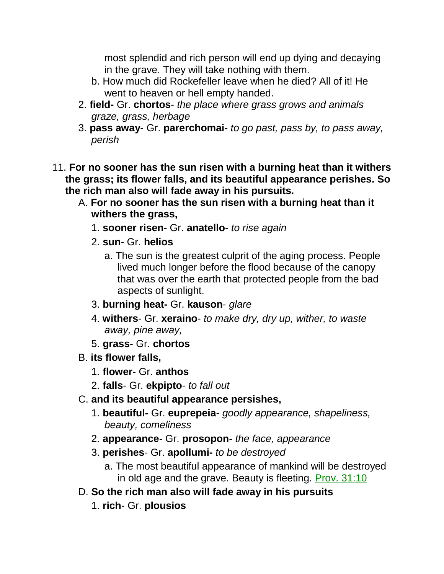most splendid and rich person will end up dying and decaying in the grave. They will take nothing with them.

- b. How much did Rockefeller leave when he died? All of it! He went to heaven or hell empty handed.
- 2. **field-** Gr. **chortos** *the place where grass grows and animals graze, grass, herbage*
- 3. **pass away** Gr. **parerchomai-** *to go past, pass by, to pass away, perish*
- 11. **For no sooner has the sun risen with a burning heat than it withers the grass; its flower falls, and its beautiful appearance perishes. So the rich man also will fade away in his pursuits.** 
	- A. **For no sooner has the sun risen with a burning heat than it withers the grass,**
		- 1. **sooner risen** Gr. **anatello** *to rise again*
		- 2. **sun** Gr. **helios**
			- a. The sun is the greatest culprit of the aging process. People lived much longer before the flood because of the canopy that was over the earth that protected people from the bad aspects of sunlight.
		- 3. **burning heat-** Gr. **kauson** *glare*
		- 4. **withers** Gr. **xeraino** *to make dry, dry up, wither, to waste away, pine away,*
		- 5. **grass** Gr. **chortos**
	- B. **its flower falls,**
		- 1. **flower** Gr. **anthos**
		- 2. **falls** Gr. **ekpipto** *to fall out*
	- C. **and its beautiful appearance persishes,**
		- 1. **beautiful-** Gr. **euprepeia** *goodly appearance, shapeliness, beauty, comeliness*
		- 2. **appearance** Gr. **prosopon** *the face, appearance*
		- 3. **perishes** Gr. **apollumi-** *to be destroyed*
			- a. The most beautiful appearance of mankind will be destroyed in old age and the grave. Beauty is fleeting. Prov. 31:10
	- D. **So the rich man also will fade away in his pursuits**
		- 1. **rich** Gr. **plousios**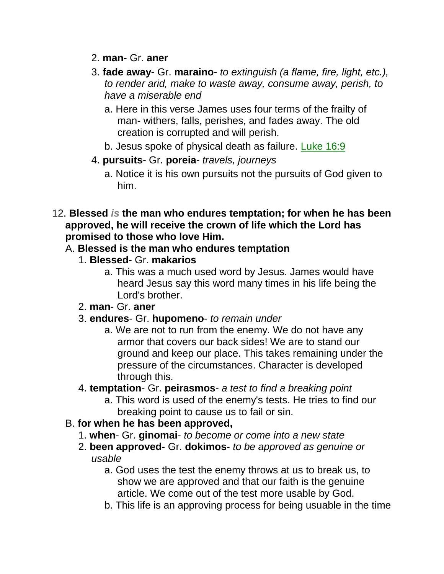- 2. **man-** Gr. **aner**
- 3. **fade away** Gr. **maraino** *to extinguish (a flame, fire, light, etc.), to render arid, make to waste away, consume away, perish, to have a miserable end*
	- a. Here in this verse James uses four terms of the frailty of man- withers, falls, perishes, and fades away. The old creation is corrupted and will perish.
	- b. Jesus spoke of physical death as failure. Luke 16:9
- 4. **pursuits** Gr. **poreia** *travels, journeys*
	- a. Notice it is his own pursuits not the pursuits of God given to him.
- 12. **Blessed** *is* **the man who endures temptation; for when he has been approved, he will receive the crown of life which the Lord has promised to those who love Him.**

### A. **Blessed is the man who endures temptation**

- 1. **Blessed** Gr. **makarios**
	- a. This was a much used word by Jesus. James would have heard Jesus say this word many times in his life being the Lord's brother.
- 2. **man** Gr. **aner**
- 3. **endures** Gr. **hupomeno** *to remain under*
	- a. We are not to run from the enemy. We do not have any armor that covers our back sides! We are to stand our ground and keep our place. This takes remaining under the pressure of the circumstances. Character is developed through this.
- 4. **temptation** Gr. **peirasmos** *a test to find a breaking point*
	- a. This word is used of the enemy's tests. He tries to find our breaking point to cause us to fail or sin.

### B. **for when he has been approved,**

- 1. **when** Gr. **ginomai** *to become or come into a new state*
- 2. **been approved** Gr. **dokimos** *to be approved as genuine or usable*
	- a. God uses the test the enemy throws at us to break us, to show we are approved and that our faith is the genuine article. We come out of the test more usable by God.
	- b. This life is an approving process for being usuable in the time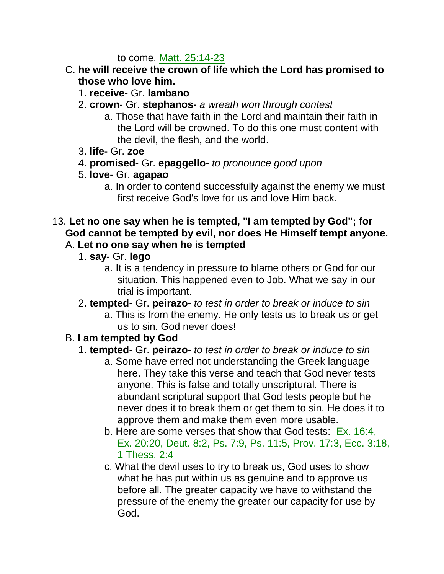to come. Matt. 25:14-23

- C. **he will receive the crown of life which the Lord has promised to those who love him.**
	- 1. **receive** Gr. **lambano**
	- 2. **crown** Gr. **stephanos-** *a wreath won through contest*
		- a. Those that have faith in the Lord and maintain their faith in the Lord will be crowned. To do this one must content with the devil, the flesh, and the world.
	- 3. **life-** Gr. **zoe**
	- 4. **promised** Gr. **epaggello** *to pronounce good upon*
	- 5. **love** Gr. **agapao**
		- a. In order to contend successfully against the enemy we must first receive God's love for us and love Him back.
- 13. **Let no one say when he is tempted, "I am tempted by God"; for God cannot be tempted by evil, nor does He Himself tempt anyone.**

## A. **Let no one say when he is tempted**

- 1. **say** Gr. **lego**
	- a. It is a tendency in pressure to blame others or God for our situation. This happened even to Job. What we say in our trial is important.
- 2**. tempted** Gr. **peirazo** *to test in order to break or induce to sin*
	- a. This is from the enemy. He only tests us to break us or get us to sin. God never does!

### B. **I am tempted by God**

### 1. **tempted**- Gr. **peirazo**- *to test in order to break or induce to sin*

- a. Some have erred not understanding the Greek language here. They take this verse and teach that God never tests anyone. This is false and totally unscriptural. There is abundant scriptural support that God tests people but he never does it to break them or get them to sin. He does it to approve them and make them even more usable.
- b. Here are some verses that show that God tests: Ex. 16:4, Ex. 20:20, Deut. 8:2, Ps. 7:9, Ps. 11:5, Prov. 17:3, Ecc. 3:18, 1 Thess. 2:4
- c. What the devil uses to try to break us, God uses to show what he has put within us as genuine and to approve us before all. The greater capacity we have to withstand the pressure of the enemy the greater our capacity for use by God.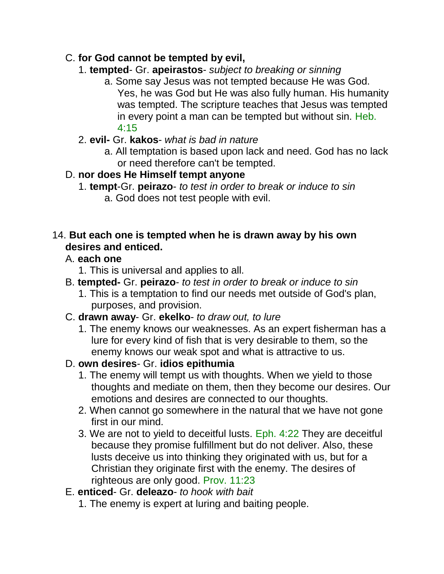### C. **for God cannot be tempted by evil,**

- 1. **tempted** Gr. **apeirastos** *subject to breaking or sinning*
	- a. Some say Jesus was not tempted because He was God. Yes, he was God but He was also fully human. His humanity was tempted. The scripture teaches that Jesus was tempted in every point a man can be tempted but without sin. Heb. 4:15
- 2. **evil-** Gr. **kakos** *what is bad in nature*
	- a. All temptation is based upon lack and need. God has no lack or need therefore can't be tempted.
- D. **nor does He Himself tempt anyone**
	- 1. **tempt**-Gr. **peirazo** *to test in order to break or induce to sin* a. God does not test people with evil.

### 14. **But each one is tempted when he is drawn away by his own desires and enticed.**

## A. **each one**

- 1. This is universal and applies to all.
- B. **tempted-** Gr. **peirazo** *to test in order to break or induce to sin*
	- 1. This is a temptation to find our needs met outside of God's plan, purposes, and provision.
- C. **drawn away** Gr. **ekelko** *to draw out, to lure*
	- 1. The enemy knows our weaknesses. As an expert fisherman has a lure for every kind of fish that is very desirable to them, so the enemy knows our weak spot and what is attractive to us.
- D. **own desires** Gr. **idios epithumia**
	- 1. The enemy will tempt us with thoughts. When we yield to those thoughts and mediate on them, then they become our desires. Our emotions and desires are connected to our thoughts.
	- 2. When cannot go somewhere in the natural that we have not gone first in our mind.
	- 3. We are not to yield to deceitful lusts. Eph. 4:22 They are deceitful because they promise fulfillment but do not deliver. Also, these lusts deceive us into thinking they originated with us, but for a Christian they originate first with the enemy. The desires of righteous are only good. Prov. 11:23
- E. **enticed** Gr. **deleazo** *to hook with bait*
	- 1. The enemy is expert at luring and baiting people.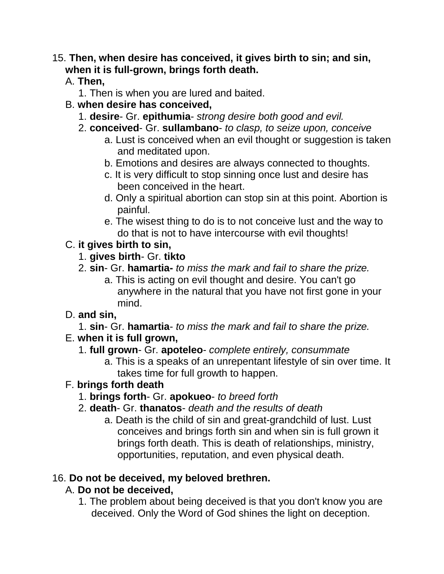## 15. **Then, when desire has conceived, it gives birth to sin; and sin, when it is full-grown, brings forth death.**

- A. **Then,**
	- 1. Then is when you are lured and baited.
- B. **when desire has conceived,**
	- 1. **desire** Gr. **epithumia** *strong desire both good and evil.*
	- 2. **conceived** Gr. **sullambano** *to clasp, to seize upon, conceive*
		- a. Lust is conceived when an evil thought or suggestion is taken and meditated upon.
		- b. Emotions and desires are always connected to thoughts.
		- c. It is very difficult to stop sinning once lust and desire has been conceived in the heart.
		- d. Only a spiritual abortion can stop sin at this point. Abortion is painful.
		- e. The wisest thing to do is to not conceive lust and the way to do that is not to have intercourse with evil thoughts!

# C. **it gives birth to sin,**

### 1. **gives birth**- Gr. **tikto**

- 2. **sin** Gr. **hamartia-** *to miss the mark and fail to share the prize.*
	- a. This is acting on evil thought and desire. You can't go anywhere in the natural that you have not first gone in your mind.

# D. **and sin,**

- 1. **sin** Gr. **hamartia** *to miss the mark and fail to share the prize.*
- E. **when it is full grown,**

### 1. **full grown**- Gr. **apoteleo**- *complete entirely, consummate*

a. This is a speaks of an unrepentant lifestyle of sin over time. It takes time for full growth to happen.

# F. **brings forth death**

- 1. **brings forth** Gr. **apokueo** *to breed forth*
- 2. **death** Gr. **thanatos** *death and the results of death*
	- a. Death is the child of sin and great-grandchild of lust. Lust conceives and brings forth sin and when sin is full grown it brings forth death. This is death of relationships, ministry, opportunities, reputation, and even physical death.

# 16. **Do not be deceived, my beloved brethren.**

# A. **Do not be deceived,**

1. The problem about being deceived is that you don't know you are deceived. Only the Word of God shines the light on deception.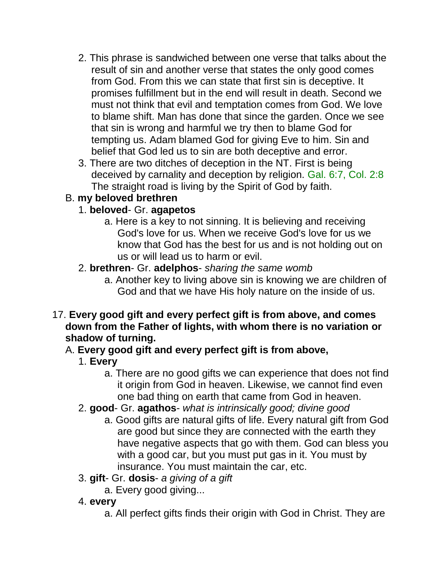- 2. This phrase is sandwiched between one verse that talks about the result of sin and another verse that states the only good comes from God. From this we can state that first sin is deceptive. It promises fulfillment but in the end will result in death. Second we must not think that evil and temptation comes from God. We love to blame shift. Man has done that since the garden. Once we see that sin is wrong and harmful we try then to blame God for tempting us. Adam blamed God for giving Eve to him. Sin and belief that God led us to sin are both deceptive and error.
- 3. There are two ditches of deception in the NT. First is being deceived by carnality and deception by religion. Gal. 6:7, Col. 2:8 The straight road is living by the Spirit of God by faith.

## B. **my beloved brethren**

### 1. **beloved**- Gr. **agapetos**

- a. Here is a key to not sinning. It is believing and receiving God's love for us. When we receive God's love for us we know that God has the best for us and is not holding out on us or will lead us to harm or evil.
- 2. **brethren** Gr. **adelphos** *sharing the same womb*
	- a. Another key to living above sin is knowing we are children of God and that we have His holy nature on the inside of us.
- 17. **Every good gift and every perfect gift is from above, and comes down from the Father of lights, with whom there is no variation or shadow of turning.**

# A. **Every good gift and every perfect gift is from above,**

- 1. **Every**
	- a. There are no good gifts we can experience that does not find it origin from God in heaven. Likewise, we cannot find even one bad thing on earth that came from God in heaven.
- 2. **good** Gr. **agathos** *what is intrinsically good; divine good*
	- a. Good gifts are natural gifts of life. Every natural gift from God are good but since they are connected with the earth they have negative aspects that go with them. God can bless you with a good car, but you must put gas in it. You must by insurance. You must maintain the car, etc.
- 3. **gift** Gr. **dosis** *a giving of a gift*
	- a. Every good giving...
- 4. **every**
	- a. All perfect gifts finds their origin with God in Christ. They are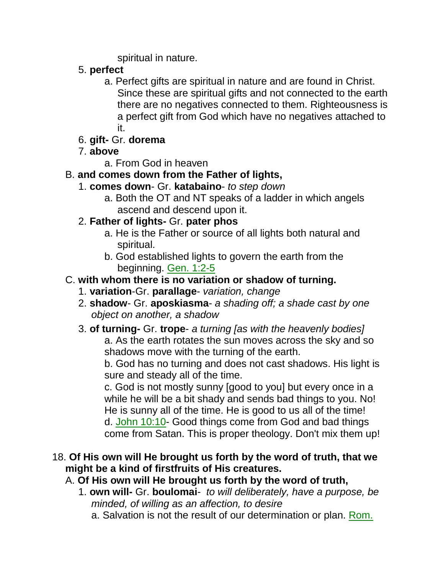spiritual in nature.

- 5. **perfect**
	- a. Perfect gifts are spiritual in nature and are found in Christ. Since these are spiritual gifts and not connected to the earth there are no negatives connected to them. Righteousness is a perfect gift from God which have no negatives attached to it.
- 6. **gift-** Gr. **dorema**
- 7. **above**

a. From God in heaven

## B. **and comes down from the Father of lights,**

- 1. **comes down** Gr. **katabaino** *to step down*
	- a. Both the OT and NT speaks of a ladder in which angels ascend and descend upon it.

### 2. **Father of lights-** Gr. **pater phos**

- a. He is the Father or source of all lights both natural and spiritual.
- b. God established lights to govern the earth from the beginning. Gen. 1:2-5
- C. **with whom there is no variation or shadow of turning.**
	- 1. **variation**-Gr. **parallage** *variation, change*
	- 2. **shadow** Gr. **aposkiasma** *a shading off; a shade cast by one object on another, a shadow*

#### 3. **of turning-** Gr. **trope**- *a turning [as with the heavenly bodies]* a. As the earth rotates the sun moves across the sky and so shadows move with the turning of the earth.

b. God has no turning and does not cast shadows. His light is sure and steady all of the time.

c. God is not mostly sunny [good to you] but every once in a while he will be a bit shady and sends bad things to you. No! He is sunny all of the time. He is good to us all of the time! d. John 10:10- Good things come from God and bad things come from Satan. This is proper theology. Don't mix them up!

### 18. **Of His own will He brought us forth by the word of truth, that we might be a kind of firstfruits of His creatures.**

### A. **Of His own will He brought us forth by the word of truth,**

- 1. **own will-** Gr. **boulomai** *to will deliberately, have a purpose, be minded, of willing as an affection, to desire*
	- a. Salvation is not the result of our determination or plan. Rom.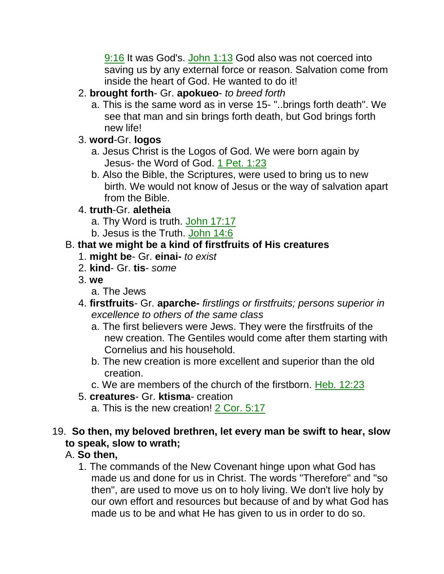9:16 It was God's. John 1:13 God also was not coerced into saving us by any external force or reason. Salvation come from inside the heart of God. He wanted to do it!

- 2. **brought forth** Gr. **apokueo** *to breed forth*
	- a. This is the same word as in verse 15- "..brings forth death". We see that man and sin brings forth death, but God brings forth new life!
- 3. **word**-Gr. **logos**
	- a. Jesus Christ is the Logos of God. We were born again by Jesus- the Word of God. 1 Pet. 1:23
	- b. Also the Bible, the Scriptures, were used to bring us to new birth. We would not know of Jesus or the way of salvation apart from the Bible.

### 4. **truth**-Gr. **aletheia**

- a. Thy Word is truth. John 17:17
- b. Jesus is the Truth. John 14:6

## B. **that we might be a kind of firstfruits of His creatures**

- 1. **might be** Gr. **einai-** *to exist*
- 2. **kind** Gr. **tis** *some*
- 3. **we**
	- a. The Jews
- 4. **firstfruits** Gr. **aparche-** *firstlings or firstfruits; persons superior in excellence to others of the same class*
	- a. The first believers were Jews. They were the firstfruits of the new creation. The Gentiles would come after them starting with Cornelius and his household.
	- b. The new creation is more excellent and superior than the old creation.
	- c. We are members of the church of the firstborn. Heb. 12:23
- 5. **creatures** Gr. **ktisma** creation
	- a. This is the new creation! 2 Cor. 5:17
- 19. **So then, my beloved brethren, let every man be swift to hear, slow to speak, slow to wrath;**

# A. **So then,**

1. The commands of the New Covenant hinge upon what God has made us and done for us in Christ. The words "Therefore" and "so then", are used to move us on to holy living. We don't live holy by our own effort and resources but because of and by what God has made us to be and what He has given to us in order to do so.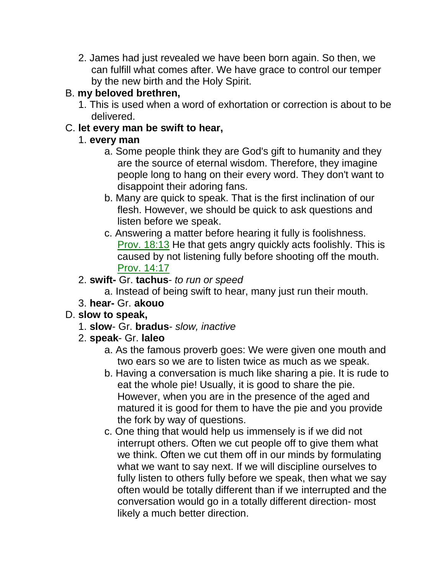2. James had just revealed we have been born again. So then, we can fulfill what comes after. We have grace to control our temper by the new birth and the Holy Spirit.

## B. **my beloved brethren,**

1. This is used when a word of exhortation or correction is about to be delivered.

## C. **let every man be swift to hear,**

## 1. **every man**

- a. Some people think they are God's gift to humanity and they are the source of eternal wisdom. Therefore, they imagine people long to hang on their every word. They don't want to disappoint their adoring fans.
- b. Many are quick to speak. That is the first inclination of our flesh. However, we should be quick to ask questions and listen before we speak.
- c. Answering a matter before hearing it fully is foolishness. Prov. 18:13 He that gets angry quickly acts foolishly. This is caused by not listening fully before shooting off the mouth. Prov. 14:17

## 2. **swift-** Gr. **tachus**- *to run or speed*

a. Instead of being swift to hear, many just run their mouth.

3. **hear-** Gr. **akouo**

# D. **slow to speak,**

- 1. **slow** Gr. **bradus** *slow, inactive*
- 2. **speak** Gr. **laleo**
	- a. As the famous proverb goes: We were given one mouth and two ears so we are to listen twice as much as we speak.
	- b. Having a conversation is much like sharing a pie. It is rude to eat the whole pie! Usually, it is good to share the pie. However, when you are in the presence of the aged and matured it is good for them to have the pie and you provide the fork by way of questions.
	- c. One thing that would help us immensely is if we did not interrupt others. Often we cut people off to give them what we think. Often we cut them off in our minds by formulating what we want to say next. If we will discipline ourselves to fully listen to others fully before we speak, then what we say often would be totally different than if we interrupted and the conversation would go in a totally different direction- most likely a much better direction.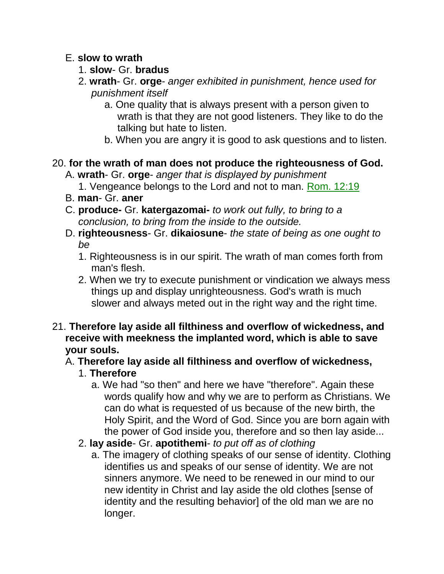#### E. **slow to wrath**

- 1. **slow** Gr. **bradus**
- 2. **wrath** Gr. **orge** *anger exhibited in punishment, hence used for punishment itself*
	- a. One quality that is always present with a person given to wrath is that they are not good listeners. They like to do the talking but hate to listen.
	- b. When you are angry it is good to ask questions and to listen.

### 20. **for the wrath of man does not produce the righteousness of God.**

- A. **wrath** Gr. **orge** *anger that is displayed by punishment*
	- 1. Vengeance belongs to the Lord and not to man. Rom. 12:19
- B. **man** Gr. **aner**
- C. **produce-** Gr. **katergazomai-** *to work out fully, to bring to a conclusion, to bring from the inside to the outside.*
- D. **righteousness** Gr. **dikaiosune** *the state of being as one ought to be*
	- 1. Righteousness is in our spirit. The wrath of man comes forth from man's flesh.
	- 2. When we try to execute punishment or vindication we always mess things up and display unrighteousness. God's wrath is much slower and always meted out in the right way and the right time.
- 21. **Therefore lay aside all filthiness and overflow of wickedness, and receive with meekness the implanted word, which is able to save your souls.**

# A. **Therefore lay aside all filthiness and overflow of wickedness,**

### 1. **Therefore**

- a. We had "so then" and here we have "therefore". Again these words qualify how and why we are to perform as Christians. We can do what is requested of us because of the new birth, the Holy Spirit, and the Word of God. Since you are born again with the power of God inside you, therefore and so then lay aside...
- 2. **lay aside** Gr. **apotithemi** *to put off as of clothing*
	- a. The imagery of clothing speaks of our sense of identity. Clothing identifies us and speaks of our sense of identity. We are not sinners anymore. We need to be renewed in our mind to our new identity in Christ and lay aside the old clothes [sense of identity and the resulting behavior] of the old man we are no longer.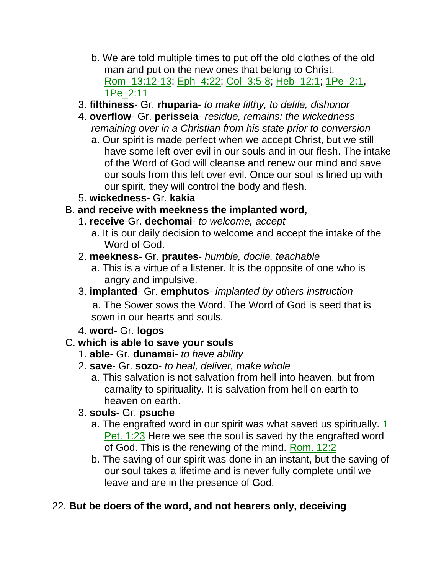- b. We are told multiple times to put off the old clothes of the old man and put on the new ones that belong to Christ. Rom\_13:12-13; Eph\_4:22; Col\_3:5-8; Heb\_12:1; 1Pe\_2:1, 1Pe\_2:11
- 3. **filthiness** Gr. **rhuparia** *to make filthy, to defile, dishonor*
- 4. **overflow** Gr. **perisseia** *residue, remains: the wickedness remaining over in a Christian from his state prior to conversion*
	- a. Our spirit is made perfect when we accept Christ, but we still have some left over evil in our souls and in our flesh. The intake of the Word of God will cleanse and renew our mind and save our souls from this left over evil. Once our soul is lined up with our spirit, they will control the body and flesh.
- 5. **wickedness** Gr. **kakia**

## B. **and receive with meekness the implanted word,**

- 1. **receive**-Gr. **dechomai** *to welcome, accept*
	- a. It is our daily decision to welcome and accept the intake of the Word of God.
- 2. **meekness** Gr. **prautes** *humble, docile, teachable*
	- a. This is a virtue of a listener. It is the opposite of one who is angry and impulsive.
- 3. **implanted** Gr. **emphutos** *implanted by others instruction*

 a. The Sower sows the Word. The Word of God is seed that is sown in our hearts and souls.

4. **word**- Gr. **logos**

### C. **which is able to save your souls**

- 1. **able** Gr. **dunamai-** *to have ability*
- 2. **save** Gr. **sozo** *to heal, deliver, make whole*
	- a. This salvation is not salvation from hell into heaven, but from carnality to spirituality. It is salvation from hell on earth to heaven on earth.

### 3. **souls**- Gr. **psuche**

- a. The engrafted word in our spirit was what saved us spiritually. 1 Pet. 1:23 Here we see the soul is saved by the engrafted word of God. This is the renewing of the mind. Rom. 12:2
- b. The saving of our spirit was done in an instant, but the saving of our soul takes a lifetime and is never fully complete until we leave and are in the presence of God.

# 22. **But be doers of the word, and not hearers only, deceiving**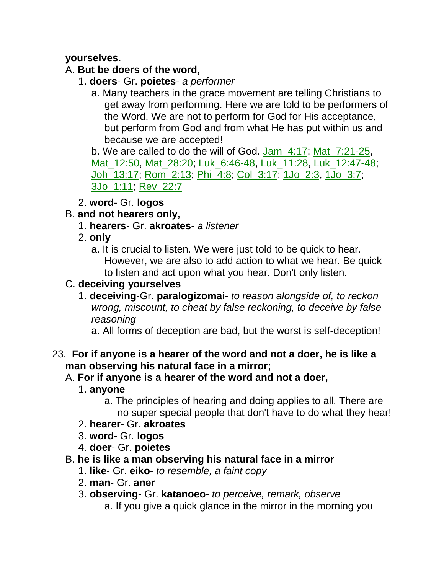### **yourselves.**

### A. **But be doers of the word,**

- 1. **doers** Gr. **poietes** *a performer*
	- a. Many teachers in the grace movement are telling Christians to get away from performing. Here we are told to be performers of the Word. We are not to perform for God for His acceptance, but perform from God and from what He has put within us and because we are accepted!

b. We are called to do the will of God. Jam\_4:17; Mat\_7:21-25, Mat\_12:50, Mat\_28:20; Luk\_6:46-48, Luk\_11:28, Luk\_12:47-48; Joh\_13:17; Rom\_2:13; Phi\_4:8; Col\_3:17; 1Jo\_2:3, 1Jo\_3:7; 3Jo\_1:11; Rev\_22:7

2. **word**- Gr. **logos**

### B. **and not hearers only,**

- 1. **hearers** Gr. **akroates** *a listener*
- 2. **only**
	- a. It is crucial to listen. We were just told to be quick to hear. However, we are also to add action to what we hear. Be quick to listen and act upon what you hear. Don't only listen.

## C. **deceiving yourselves**

- 1. **deceiving**-Gr. **paralogizomai** *to reason alongside of, to reckon wrong, miscount, to cheat by false reckoning, to deceive by false reasoning*
	- a. All forms of deception are bad, but the worst is self-deception!

#### 23. **For if anyone is a hearer of the word and not a doer, he is like a man observing his natural face in a mirror;**

### A. **For if anyone is a hearer of the word and not a doer,**

- 1. **anyone**
	- a. The principles of hearing and doing applies to all. There are no super special people that don't have to do what they hear!
- 2. **hearer** Gr. **akroates**
- 3. **word** Gr. **logos**
- 4. **doer** Gr. **poietes**
- B. **he is like a man observing his natural face in a mirror**
	- 1. **like** Gr. **eiko** *to resemble, a faint copy*
	- 2. **man** Gr. **aner**
	- 3. **observing** Gr. **katanoeo** *to perceive, remark, observe*
		- a. If you give a quick glance in the mirror in the morning you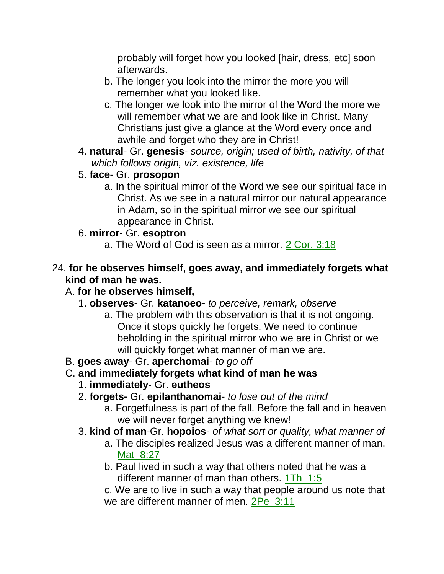probably will forget how you looked [hair, dress, etc] soon afterwards.

- b. The longer you look into the mirror the more you will remember what you looked like.
- c. The longer we look into the mirror of the Word the more we will remember what we are and look like in Christ. Many Christians just give a glance at the Word every once and awhile and forget who they are in Christ!
- 4. **natural** Gr. **genesis** *source, origin; used of birth, nativity, of that which follows origin, viz. existence, life*
- 5. **face** Gr. **prosopon**
	- a. In the spiritual mirror of the Word we see our spiritual face in Christ. As we see in a natural mirror our natural appearance in Adam, so in the spiritual mirror we see our spiritual appearance in Christ.

### 6. **mirror**- Gr. **esoptron**

a. The Word of God is seen as a mirror. 2 Cor. 3:18

#### 24. **for he observes himself, goes away, and immediately forgets what kind of man he was.**

### A. **for he observes himself,**

- 1. **observes** Gr. **katanoeo** *to perceive, remark, observe*
	- a. The problem with this observation is that it is not ongoing. Once it stops quickly he forgets. We need to continue beholding in the spiritual mirror who we are in Christ or we will quickly forget what manner of man we are.
- B. **goes away** Gr. **aperchomai** *to go off*
- C. **and immediately forgets what kind of man he was**
	- 1. **immediately** Gr. **eutheos**
	- 2. **forgets-** Gr. **epilanthanomai** *to lose out of the mind*
		- a. Forgetfulness is part of the fall. Before the fall and in heaven we will never forget anything we knew!
	- 3. **kind of man**-Gr. **hopoios** *of what sort or quality, what manner of*
		- a. The disciples realized Jesus was a different manner of man. Mat 8:27
		- b. Paul lived in such a way that others noted that he was a different manner of man than others. 1Th\_1:5

c. We are to live in such a way that people around us note that we are different manner of men. 2Pe\_3:11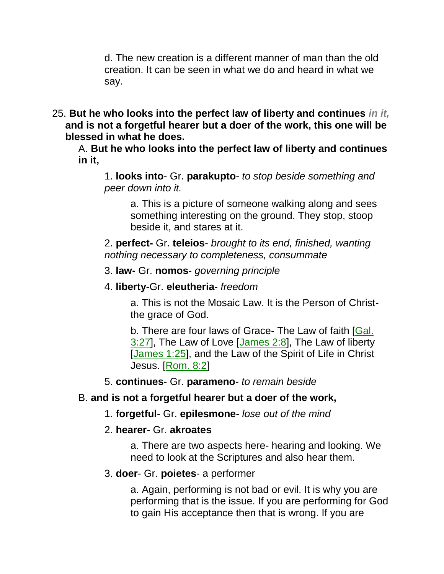d. The new creation is a different manner of man than the old creation. It can be seen in what we do and heard in what we say.

25. **But he who looks into the perfect law of liberty and continues** *in it,* **and is not a forgetful hearer but a doer of the work, this one will be blessed in what he does.** 

A. **But he who looks into the perfect law of liberty and continues in it,**

1. **looks into**- Gr. **parakupto**- *to stop beside something and peer down into it.*

a. This is a picture of someone walking along and sees something interesting on the ground. They stop, stoop beside it, and stares at it.

2. **perfect-** Gr. **teleios**- *brought to its end, finished, wanting nothing necessary to completeness, consummate*

3. **law-** Gr. **nomos**- *governing principle*

4. **liberty**-Gr. **eleutheria**- *freedom*

a. This is not the Mosaic Law. It is the Person of Christthe grace of God.

b. There are four laws of Grace- The Law of faith [Gal. 3:27], The Law of Love [James 2:8], The Law of liberty [James 1:25], and the Law of the Spirit of Life in Christ Jesus. [Rom. 8:2]

5. **continues**- Gr. **parameno**- *to remain beside*

### B. **and is not a forgetful hearer but a doer of the work,**

1. **forgetful**- Gr. **epilesmone**- *lose out of the mind*

### 2. **hearer**- Gr. **akroates**

a. There are two aspects here- hearing and looking. We need to look at the Scriptures and also hear them.

### 3. **doer**- Gr. **poietes**- a performer

a. Again, performing is not bad or evil. It is why you are performing that is the issue. If you are performing for God to gain His acceptance then that is wrong. If you are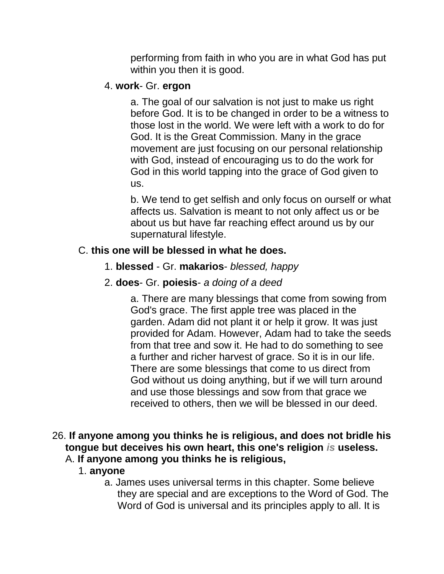performing from faith in who you are in what God has put within you then it is good.

#### 4. **work**- Gr. **ergon**

a. The goal of our salvation is not just to make us right before God. It is to be changed in order to be a witness to those lost in the world. We were left with a work to do for God. It is the Great Commission. Many in the grace movement are just focusing on our personal relationship with God, instead of encouraging us to do the work for God in this world tapping into the grace of God given to us.

b. We tend to get selfish and only focus on ourself or what affects us. Salvation is meant to not only affect us or be about us but have far reaching effect around us by our supernatural lifestyle.

#### C. **this one will be blessed in what he does.**

- 1. **blessed** Gr. **makarios** *blessed, happy*
- 2. **does** Gr. **poiesis** *a doing of a deed*

a. There are many blessings that come from sowing from God's grace. The first apple tree was placed in the garden. Adam did not plant it or help it grow. It was just provided for Adam. However, Adam had to take the seeds from that tree and sow it. He had to do something to see a further and richer harvest of grace. So it is in our life. There are some blessings that come to us direct from God without us doing anything, but if we will turn around and use those blessings and sow from that grace we received to others, then we will be blessed in our deed.

#### 26. **If anyone among you thinks he is religious, and does not bridle his tongue but deceives his own heart, this one's religion** *is* **useless.**  A. **If anyone among you thinks he is religious,**

- 1. **anyone**
	- a. James uses universal terms in this chapter. Some believe they are special and are exceptions to the Word of God. The Word of God is universal and its principles apply to all. It is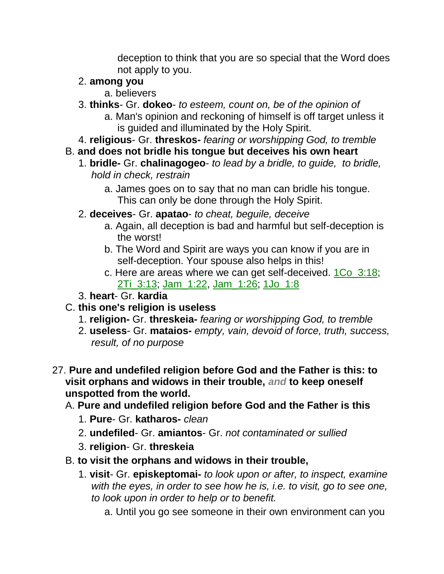deception to think that you are so special that the Word does not apply to you.

### 2. **among you**

- a. believers
- 3. **thinks** Gr. **dokeo** *to esteem, count on, be of the opinion of* a. Man's opinion and reckoning of himself is off target unless it
	- is guided and illuminated by the Holy Spirit.
- 4. **religious** Gr. **threskos-** *fearing or worshipping God, to tremble*
- B. **and does not bridle his tongue but deceives his own heart**
	- 1. **bridle-** Gr. **chalinagogeo** *to lead by a bridle, to guide, to bridle, hold in check, restrain*
		- a. James goes on to say that no man can bridle his tongue. This can only be done through the Holy Spirit.
	- 2. **deceives** Gr. **apatao** *to cheat, beguile, deceive*
		- a. Again, all deception is bad and harmful but self-deception is the worst!
		- b. The Word and Spirit are ways you can know if you are in self-deception. Your spouse also helps in this!
		- c. Here are areas where we can get self-deceived. 1Co\_3:18; 2Ti\_3:13; Jam\_1:22, Jam\_1:26; 1Jo\_1:8
	- 3. **heart** Gr. **kardia**
- C. **this one's religion is useless**
	- 1. **religion-** Gr. **threskeia-** *fearing or worshipping God, to tremble*
	- 2. **useless** Gr. **mataios-** *empty, vain, devoid of force, truth, success, result, of no purpose*
- 27. **Pure and undefiled religion before God and the Father is this: to visit orphans and widows in their trouble,** *and* **to keep oneself unspotted from the world.** 
	- A. **Pure and undefiled religion before God and the Father is this**
		- 1. **Pure** Gr. **katharos-** *clean*
		- 2. **undefiled** Gr. **amiantos** Gr. *not contaminated or sullied*
		- 3. **religion** Gr. **threskeia**
	- B. **to visit the orphans and widows in their trouble,**
		- 1. **visit** Gr. **episkeptomai-** *to look upon or after, to inspect, examine with the eyes, in order to see how he is, i.e. to visit, go to see one, to look upon in order to help or to benefit.*
			- a. Until you go see someone in their own environment can you